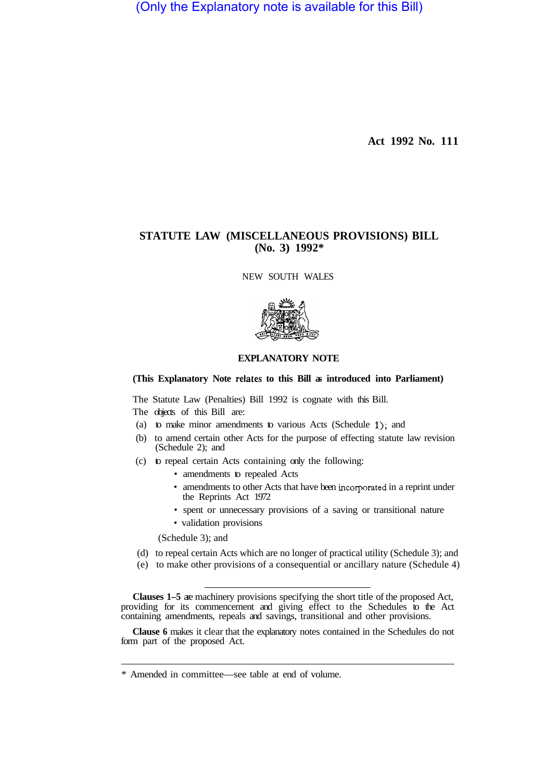(Only the Explanatory note is available for this Bill)

**Act 1992 No. 111** 

# **STATUTE LAW (MISCELLANEOUS PROVISIONS) BILL (No. 3) 1992\***

NEW SOUTH WALES



## **EXPLANATORY NOTE**

## **(This Explanatory Note relates to this Bill as introduced into Parliament)**

The Statute Law (Penalties) Bill 1992 is cognate with this Bill.

The objects of this Bill are:

- (a) to make minor amendments to various Acts (Schedule 1); and
- (b) to amend certain other Acts for the purpose of effecting statute law revision (Schedule 2); and
- (c) to repeal certain Acts containing only the following:
	- amendments to repealed Acts
	- amendments to other Acts that have been incorporated in a reprint under the Reprints Act 1972
	- spent or unnecessary provisions of a saving or transitional nature
	- validation provisions

(Schedule 3); and

- (d) to repeal certain Acts which are no longer of practical utility (Schedule 3); and
- (e) to make other provisions of a consequential or ancillary nature (Schedule 4)

Clauses 1–5 are machinery provisions specifying the short title of the proposed Act, providing for its commencement and giving effect to the Schedules to the Act containing amendments, repeals and savings, transitional and other provisions.

**Clause 6** makes it clear that the explanatory notes contained in the Schedules do not form part of the proposed Act.

<sup>\*</sup> Amended in committee—see table at end of volume.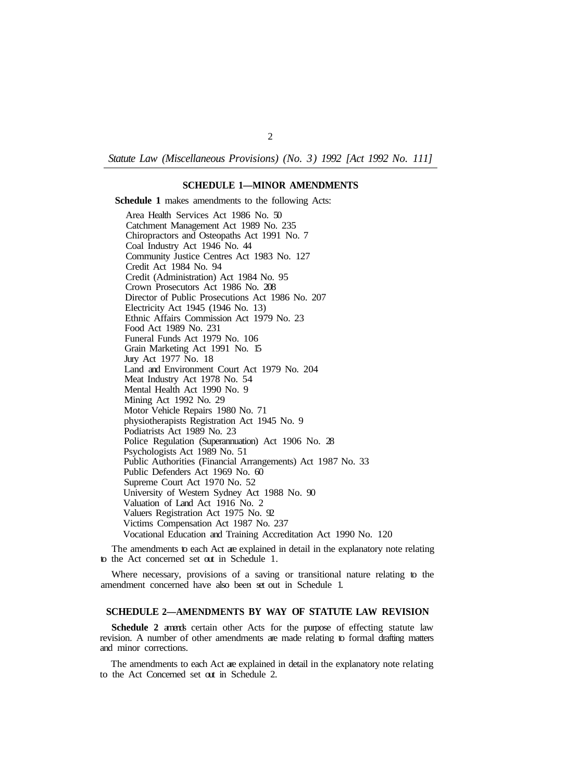*Statute Law (Miscellaneous Provisions) (No. 3) 1992 [Act 1992 No. 111]* 

## **SCHEDULE 1—MINOR AMENDMENTS**

**Schedule 1** makes amendments to the following Acts:

Area Health Services Act 1986 No. 50 Catchment Management Act 1989 No. 235 Chiropractors and Osteopaths Act 1991 No. 7 Coal Industry Act 1946 No. 44 Community Justice Centres Act 1983 No. 127 Credit Act 1984 No. 94 Credit (Administration) Act 1984 No. 95 Crown Prosecutors Act 1986 No. 208 Director of Public Prosecutions Act 1986 No. 207 Electricity Act 1945 (1946 No. 13) Ethnic Affairs Commission Act 1979 No. 23 Food Act 1989 No. 231 Funeral Funds Act 1979 No. 106 Grain Marketing Act 1991 No. 15 Jury Act 1977 No. 18 Land and Environment Court Act 1979 No. 204 Meat Industry Act 1978 No. 54 Mental Health Act 1990 No. 9 Mining Act 1992 No. 29 Motor Vehicle Repairs 1980 No. 71 physiotherapists Registration Act 1945 No. 9 Podiatrists Act 1989 No. 23 Police Regulation (Superannuation) Act 1906 No. 28 Psychologists Act 1989 No. 51 Public Authorities (Financial Arrangements) Act 1987 No. 33 Public Defenders Act 1969 No. 60 Supreme Court Act 1970 No. 52 University of Western Sydney Act 1988 No. 90 Valuation of Land Act 1916 No. 2 Valuers Registration Act 1975 No. 92 Victims Compensation Act 1987 No. 237 Vocational Education and Training Accreditation Act 1990 No. 120

The amendments to each Act are explained in detail in the explanatory note relating to the Act concerned set out in Schedule 1.

Where necessary, provisions of a saving or transitional nature relating to the amendment concerned have also been set out in Schedule 1.

#### **SCHEDULE 2—AMENDMENTS BY WAY OF STATUTE LAW REVISION**

**Schedule 2** amends certain other Acts for the purpose of effecting statute law revision. A number of other amendments are made relating to formal drafting matters and minor corrections.

The amendments to each Act are explained in detail in the explanatory note relating to the Act Concerned set out in Schedule 2.